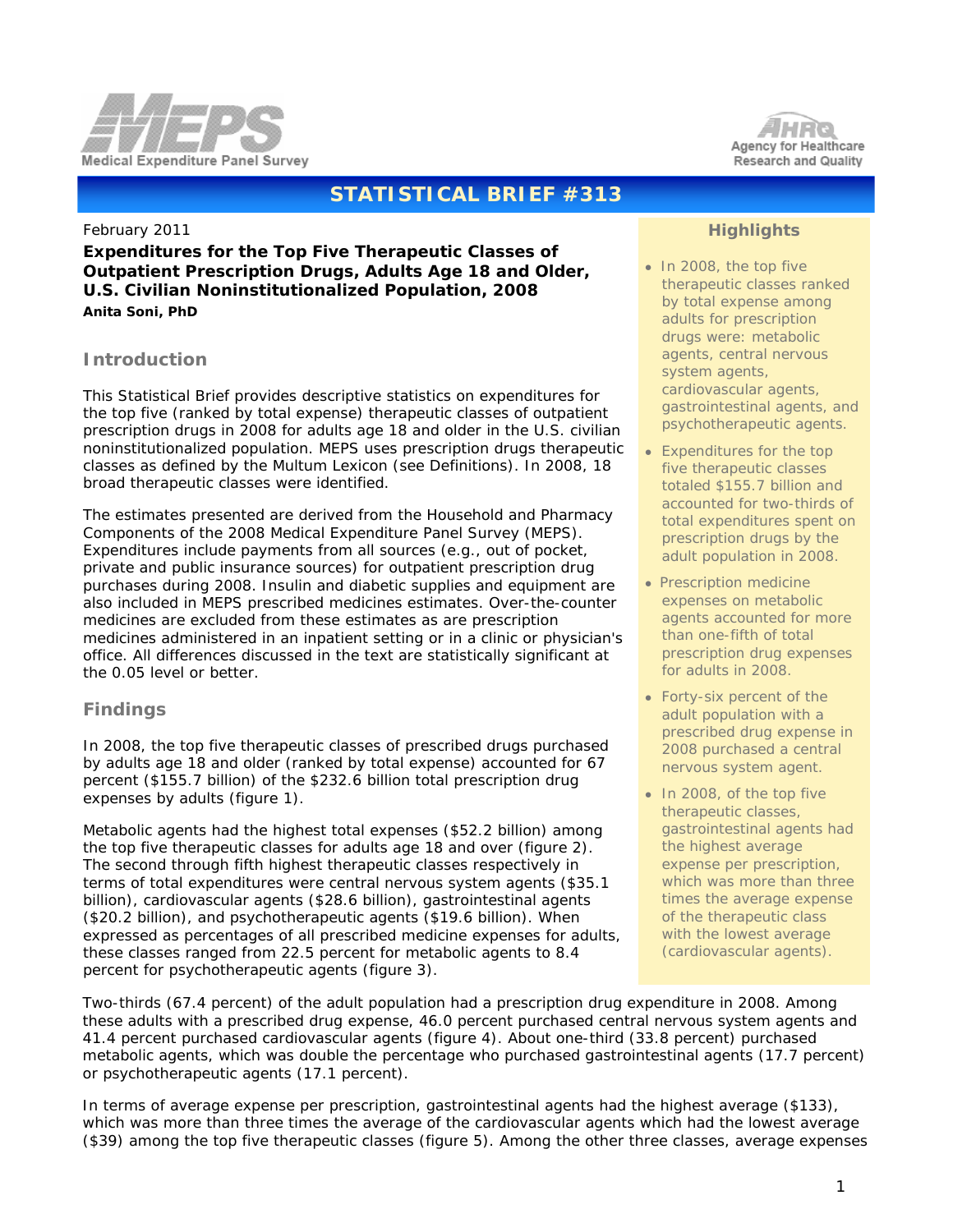



# **STATISTICAL BRIEF #313**

#### February 2011

**Expenditures for the Top Five Therapeutic Classes of Outpatient Prescription Drugs, Adults Age 18 and Older, U.S. Civilian Noninstitutionalized Population, 2008** *Anita Soni, PhD*

### **Introduction**

This Statistical Brief provides descriptive statistics on expenditures for the top five (ranked by total expense) therapeutic classes of outpatient prescription drugs in 2008 for adults age 18 and older in the U.S. civilian noninstitutionalized population. MEPS uses prescription drugs therapeutic classes as defined by the Multum Lexicon (see Definitions). In 2008, 18 broad therapeutic classes were identified.

The estimates presented are derived from the Household and Pharmacy Components of the 2008 Medical Expenditure Panel Survey (MEPS). Expenditures include payments from all sources (e.g., out of pocket, private and public insurance sources) for outpatient prescription drug purchases during 2008. Insulin and diabetic supplies and equipment are also included in MEPS prescribed medicines estimates. Over-the-counter medicines are excluded from these estimates as are prescription medicines administered in an inpatient setting or in a clinic or physician's office. All differences discussed in the text are statistically significant at the 0.05 level or better.

### **Findings**

In 2008, the top five therapeutic classes of prescribed drugs purchased by adults age 18 and older (ranked by total expense) accounted for 67 percent (\$155.7 billion) of the \$232.6 billion total prescription drug expenses by adults (figure 1).

Metabolic agents had the highest total expenses (\$52.2 billion) among the top five therapeutic classes for adults age 18 and over (figure 2). The second through fifth highest therapeutic classes respectively in terms of total expenditures were central nervous system agents (\$35.1 billion), cardiovascular agents (\$28.6 billion), gastrointestinal agents (\$20.2 billion), and psychotherapeutic agents (\$19.6 billion). When expressed as percentages of all prescribed medicine expenses for adults, these classes ranged from 22.5 percent for metabolic agents to 8.4 percent for psychotherapeutic agents (figure 3).

### **Highlights**

- In 2008, the top five therapeutic classes ranked by total expense among adults for prescription drugs were: metabolic agents, central nervous system agents, cardiovascular agents, gastrointestinal agents, and psychotherapeutic agents.
- Expenditures for the top five therapeutic classes totaled \$155.7 billion and accounted for two-thirds of total expenditures spent on prescription drugs by the adult population in 2008.
- Prescription medicine expenses on metabolic agents accounted for more than one-fifth of total prescription drug expenses for adults in 2008.
- Forty-six percent of the adult population with a prescribed drug expense in 2008 purchased a central nervous system agent.
- In 2008, of the top five therapeutic classes, gastrointestinal agents had the highest average expense per prescription, which was more than three times the average expense of the therapeutic class with the lowest average (cardiovascular agents).

 Two-thirds (67.4 percent) of the adult population had a prescription drug expenditure in 2008. Among these adults with a prescribed drug expense, 46.0 percent purchased central nervous system agents and 41.4 percent purchased cardiovascular agents (figure 4). About one-third (33.8 percent) purchased metabolic agents, which was double the percentage who purchased gastrointestinal agents (17.7 percent) or psychotherapeutic agents (17.1 percent).

 In terms of average expense per prescription, gastrointestinal agents had the highest average (\$133), which was more than three times the average of the cardiovascular agents which had the lowest average (\$39) among the top five therapeutic classes (figure 5). Among the other three classes, average expenses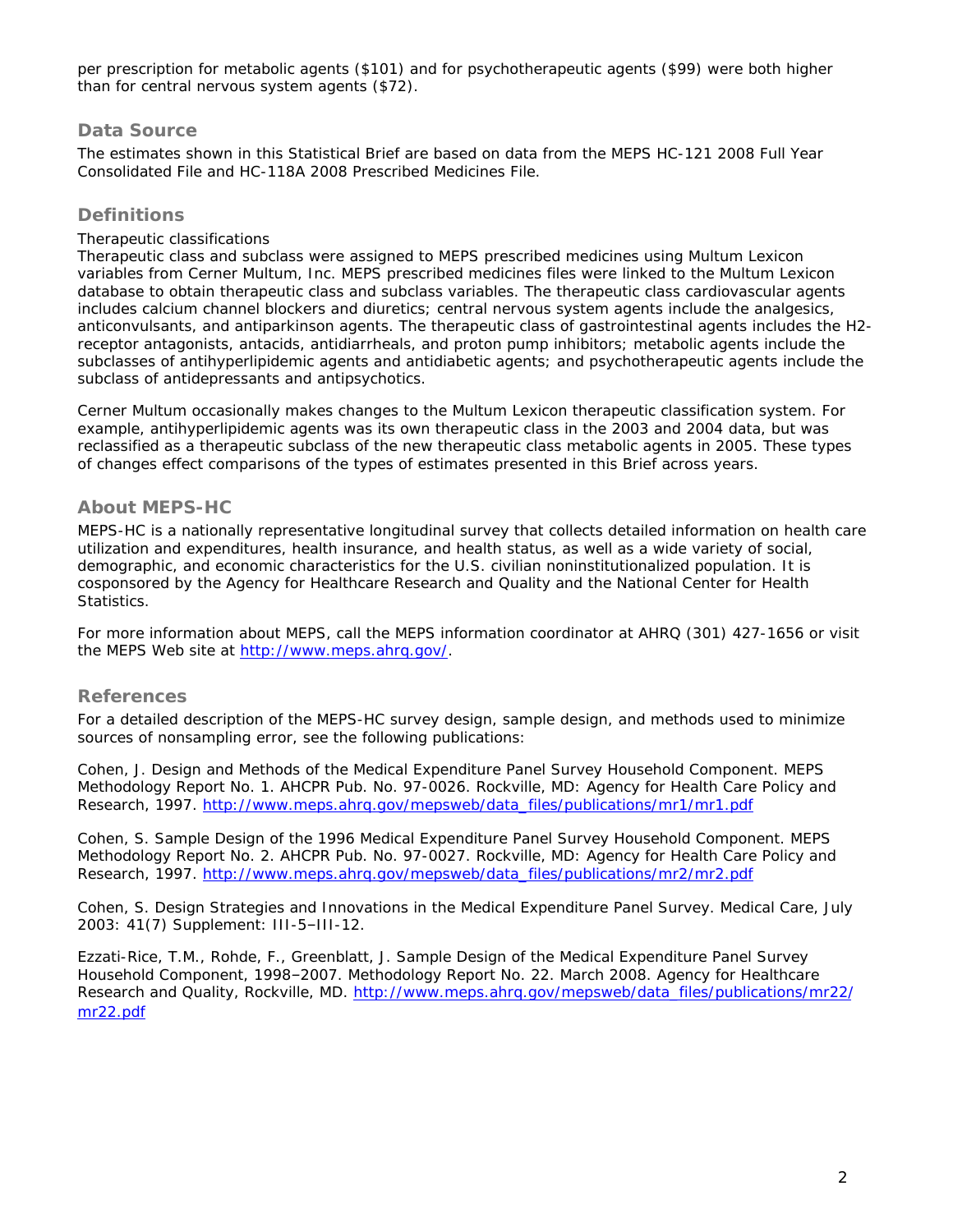per prescription for metabolic agents (\$101) and for psychotherapeutic agents (\$99) were both higher than for central nervous system agents (\$72).

### **Data Source**

The estimates shown in this Statistical Brief are based on data from the MEPS HC-121 2008 Full Year Consolidated File and HC-118A 2008 Prescribed Medicines File.

## **Definitions**

#### *Therapeutic classifications*

Therapeutic class and subclass were assigned to MEPS prescribed medicines using Multum Lexicon variables from Cerner Multum, Inc. MEPS prescribed medicines files were linked to the Multum Lexicon database to obtain therapeutic class and subclass variables. The therapeutic class cardiovascular agents includes calcium channel blockers and diuretics; central nervous system agents include the analgesics, anticonvulsants, and antiparkinson agents. The therapeutic class of gastrointestinal agents includes the H2 receptor antagonists, antacids, antidiarrheals, and proton pump inhibitors; metabolic agents include the subclasses of antihyperlipidemic agents and antidiabetic agents; and psychotherapeutic agents include the subclass of antidepressants and antipsychotics.

Cerner Multum occasionally makes changes to the Multum Lexicon therapeutic classification system. For example, antihyperlipidemic agents was its own therapeutic class in the 2003 and 2004 data, but was reclassified as a therapeutic subclass of the new therapeutic class metabolic agents in 2005. These types of changes effect comparisons of the types of estimates presented in this Brief across years.

### **About MEPS-HC**

MEPS-HC is a nationally representative longitudinal survey that collects detailed information on health care utilization and expenditures, health insurance, and health status, as well as a wide variety of social, demographic, and economic characteristics for the U.S. civilian noninstitutionalized population. It is cosponsored by the Agency for Healthcare Research and Quality and the National Center for Health Statistics.

For more information about MEPS, call the MEPS information coordinator at AHRQ (301) 427-1656 or visit the MEPS Web site at [http://www.meps.ahrq.gov/.](http://www.meps.ahrq.gov/)

### **References**

For a detailed description of the MEPS-HC survey design, sample design, and methods used to minimize sources of nonsampling error, see the following publications:

Cohen, J. *Design and Methods of the Medical Expenditure Panel Survey Household Component*. MEPS Methodology Report No. 1. AHCPR Pub. No. 97-0026. Rockville, MD: Agency for Health Care Policy and Research, 1997. [http://www.meps.ahrq.gov/mepsweb/data\\_files/publications/mr1/mr1.pdf](http://www.meps.ahrq.gov/mepsweb/data_files/publications/mr1/mr1.pdf)

Cohen, S. *Sample Design of the 1996 Medical Expenditure Panel Survey Household Component*. MEPS Methodology Report No. 2. AHCPR Pub. No. 97-0027. Rockville, MD: Agency for Health Care Policy and Research, 1997. [http://www.meps.ahrq.gov/mepsweb/data\\_files/publications/mr2/mr2.pdf](http://www.meps.ahrq.gov/mepsweb/data_files/publications/mr2/mr2.pdf)

Cohen, S. Design Strategies and Innovations in the Medical Expenditure Panel Survey. *Medical Care*, July 2003: 41(7) Supplement: III-5–III-12.

Ezzati-Rice, T.M., Rohde, F., Greenblatt, J. *Sample Design of the Medical Expenditure Panel Survey Household Component, 1998–2007*. Methodology Report No. 22. March 2008. Agency for Healthcare Research and Quality, Rockville, MD. [http://www.meps.ahrq.gov/mepsweb/data\\_files/publications/mr22/](http://www.meps.ahrq.gov/mepsweb/data_files/publications/mr22/mr22.pdf) [mr22.pdf](http://www.meps.ahrq.gov/mepsweb/data_files/publications/mr22/mr22.pdf)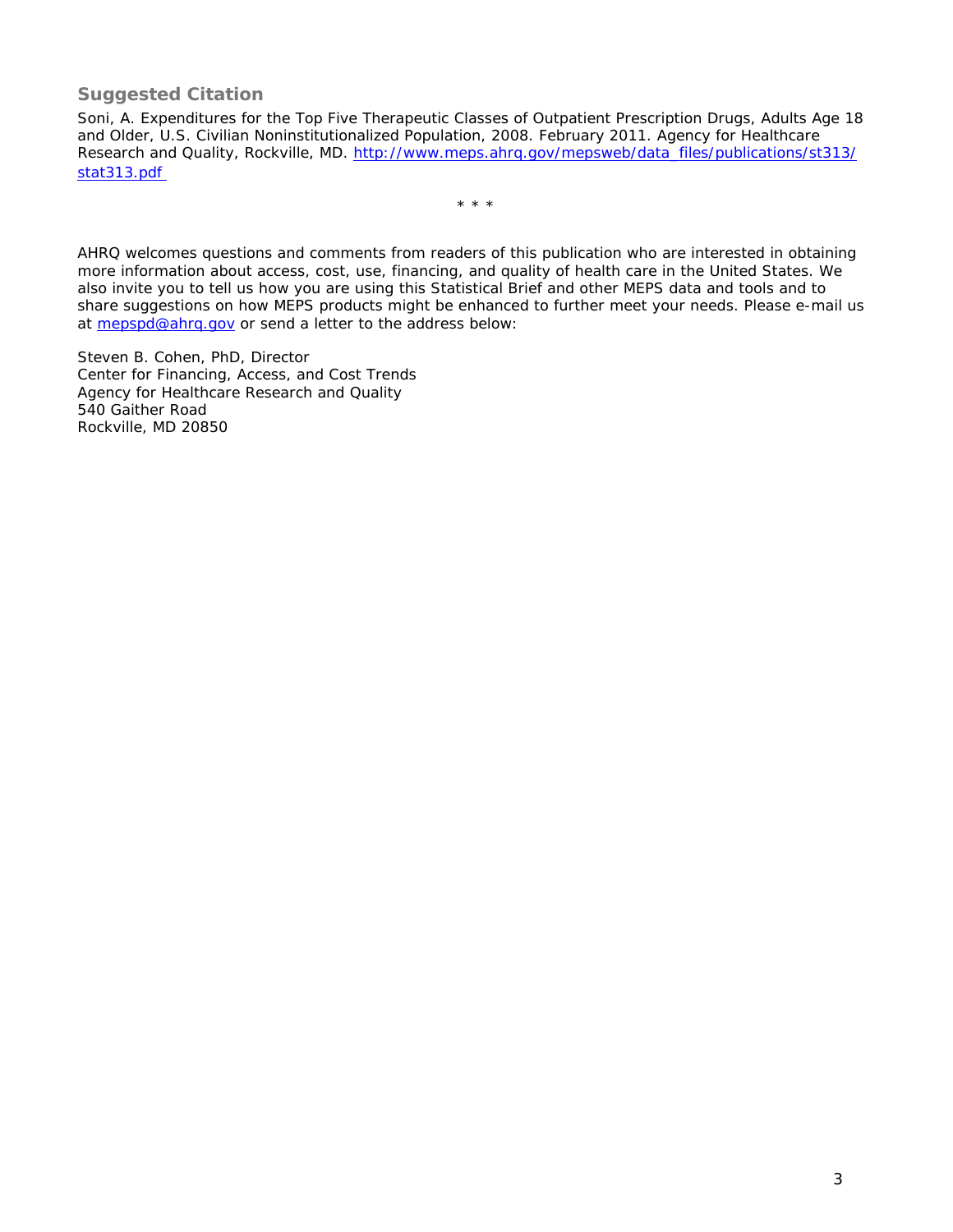### **Suggested Citation**

Soni, A. *Expenditures for the Top Five Therapeutic Classes of Outpatient Prescription Drugs, Adults Age 18 and Older, U.S. Civilian Noninstitutionalized Population, 2008.* February 2011. Agency for Healthcare Research and Quality, Rockville, MD. [http://www.meps.ahrq.gov/mepsweb/data\\_files/publications/st313/](http://www.meps.ahrq.gov/mepsweb/data_files/publications/st313/stat313.pdf) [stat313.pdf](http://www.meps.ahrq.gov/mepsweb/data_files/publications/st313/stat313.pdf)

\* \* \*

AHRQ welcomes questions and comments from readers of this publication who are interested in obtaining more information about access, cost, use, financing, and quality of health care in the United States. We also invite you to tell us how you are using this Statistical Brief and other MEPS data and tools and to share suggestions on how MEPS products might be enhanced to further meet your needs. Please e-mail us at [mepspd@ahrq.gov](mailto:mepspd@ahrq.gov) or send a letter to the address below:

Steven B. Cohen, PhD, Director Center for Financing, Access, and Cost Trends Agency for Healthcare Research and Quality 540 Gaither Road Rockville, MD 20850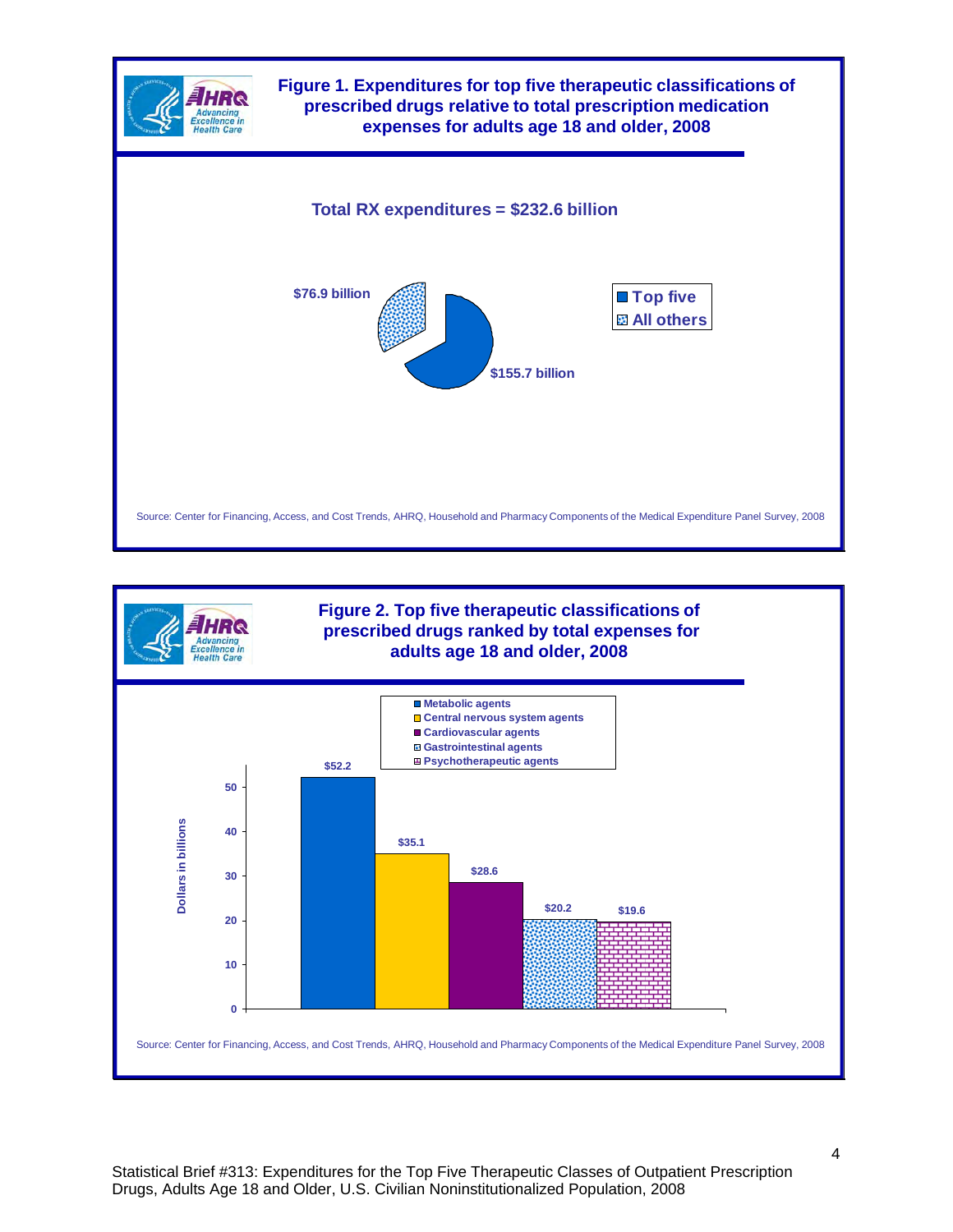

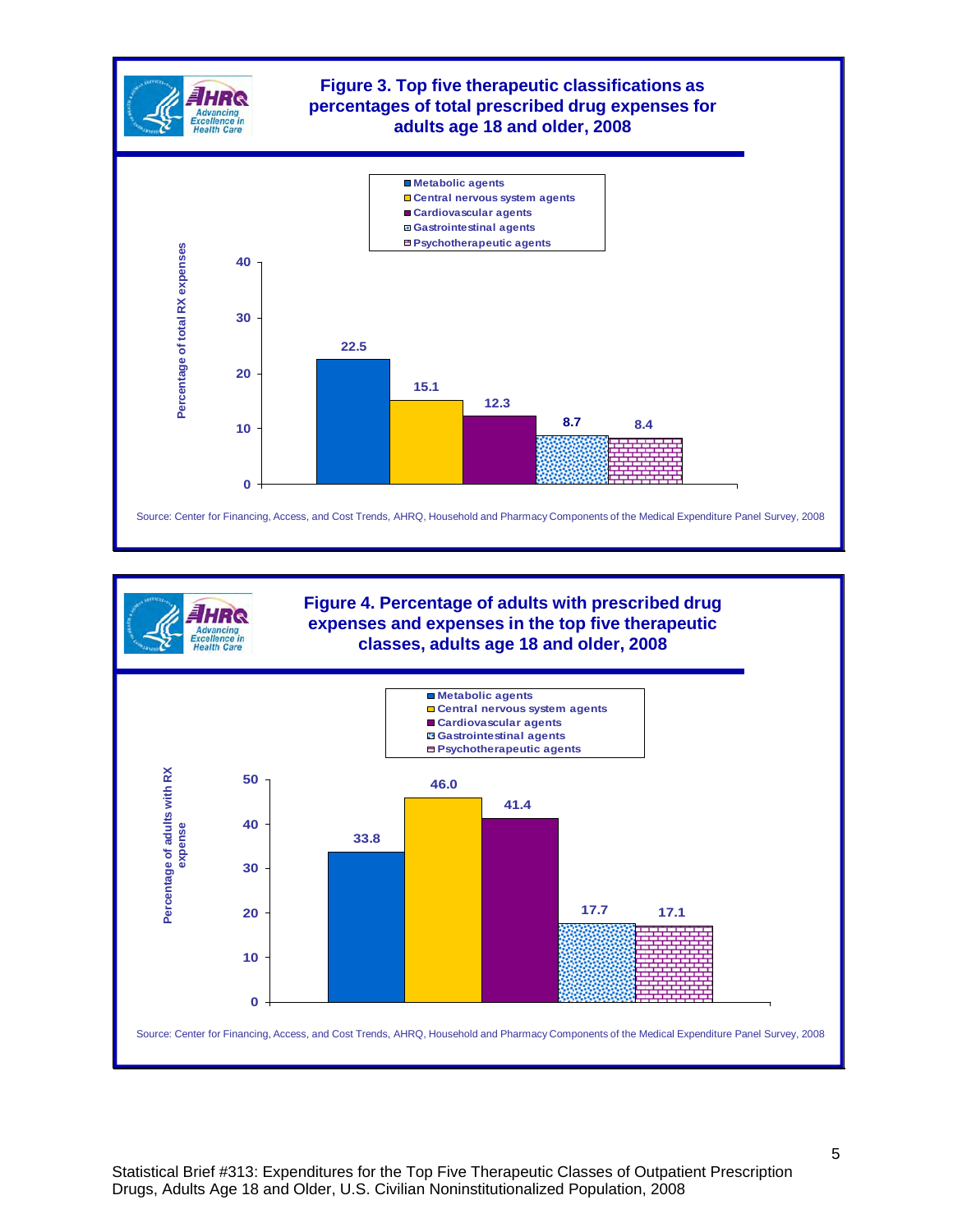



**Figure 4. Percentage of adults with prescribed drug expenses and expenses in the top five therapeutic classes, adults age 18 and older, 2008**